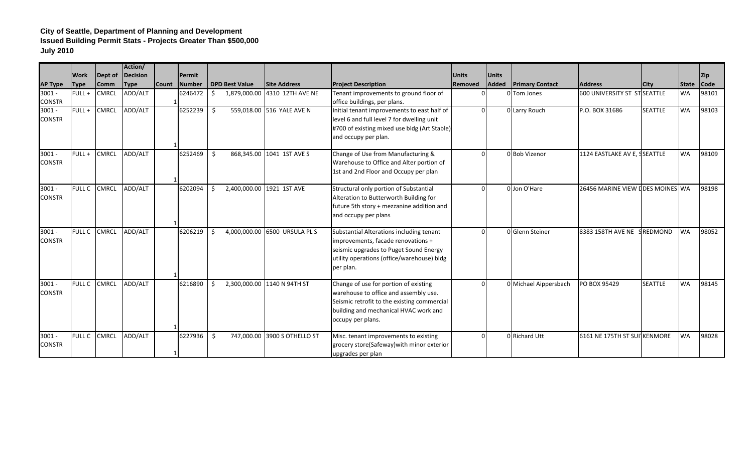|                |               |              | Action/     |              |         |    |                       |                               |                                              |              |              |                        |                                  |                 |           |             |
|----------------|---------------|--------------|-------------|--------------|---------|----|-----------------------|-------------------------------|----------------------------------------------|--------------|--------------|------------------------|----------------------------------|-----------------|-----------|-------------|
|                | <b>Work</b>   | Dept of      | Decision    |              | Permit  |    |                       |                               |                                              | <b>Units</b> | <b>Units</b> |                        |                                  |                 |           | <b>Zip</b>  |
| <b>AP Type</b> | <b>Type</b>   | <b>Comm</b>  | <b>Type</b> | <b>Count</b> | Number  |    | <b>DPD Best Value</b> | <b>Site Address</b>           | <b>Project Description</b>                   | Removed      | Added        | <b>Primary Contact</b> | <b>Address</b>                   | <b>City</b>     | State     | <b>Code</b> |
| $3001 -$       | FULL+         | <b>CMRCL</b> | ADD/ALT     |              | 6246472 | Ŝ. |                       | 1,879,000.00 4310 12TH AVE NE | Tenant improvements to ground floor of       |              |              | 0 Tom Jones            | 600 UNIVERSITY ST ST SEATTLE     |                 | <b>WA</b> | 98101       |
| <b>CONSTR</b>  |               |              |             |              |         |    |                       |                               | office buildings, per plans.                 |              |              |                        |                                  |                 |           |             |
| $3001 -$       | FULL+         | CMRCL        | ADD/ALT     |              | 6252239 | Ŝ. |                       | 559,018.00 516 YALE AVE N     | Initial tenant improvements to east half of  |              |              | 0 Larry Rouch          | P.O. BOX 31686                   | <b>SEATTLE</b>  | <b>WA</b> | 98103       |
| <b>CONSTR</b>  |               |              |             |              |         |    |                       |                               | level 6 and full level 7 for dwelling unit   |              |              |                        |                                  |                 |           |             |
|                |               |              |             |              |         |    |                       |                               | #700 of existing mixed use bldg (Art Stable) |              |              |                        |                                  |                 |           |             |
|                |               |              |             |              |         |    |                       |                               | and occupy per plan.                         |              |              |                        |                                  |                 |           |             |
| $3001 -$       | FULL+         | CMRCL        | ADD/ALT     |              | 6252469 | Ŝ. |                       | 868,345.00 1041 1ST AVE S     | Change of Use from Manufacturing &           |              |              | 0 Bob Vizenor          | 1124 EASTLAKE AV E, SSEATTLE     |                 | <b>WA</b> | 98109       |
| <b>CONSTR</b>  |               |              |             |              |         |    |                       |                               | Warehouse to Office and Alter portion of     |              |              |                        |                                  |                 |           |             |
|                |               |              |             |              |         |    |                       |                               | 1st and 2nd Floor and Occupy per plan        |              |              |                        |                                  |                 |           |             |
|                |               |              |             |              |         |    |                       |                               |                                              |              |              |                        |                                  |                 |           |             |
| $3001 -$       | <b>FULL C</b> | <b>CMRCL</b> | ADD/ALT     |              | 6202094 | Ŝ. |                       | 2,400,000.00 1921 1ST AVE     | Structural only portion of Substantial       | $\Omega$     |              | 0 Jon O'Hare           | 26456 MARINE VIEW LDES MOINES WA |                 |           | 98198       |
| <b>CONSTR</b>  |               |              |             |              |         |    |                       |                               | Alteration to Butterworth Building for       |              |              |                        |                                  |                 |           |             |
|                |               |              |             |              |         |    |                       |                               | future 5th story + mezzanine addition and    |              |              |                        |                                  |                 |           |             |
|                |               |              |             |              |         |    |                       |                               | and occupy per plans                         |              |              |                        |                                  |                 |           |             |
| $3001 -$       | <b>FULL C</b> | CMRCL        | ADD/ALT     |              | 6206219 | Ŝ. |                       | 4,000,000.00 6500 URSULA PL S | Substantial Alterations including tenant     | $\Omega$     |              | 0 Glenn Steiner        | 8383 158TH AVE NE                | <b>SREDMOND</b> | <b>WA</b> | 98052       |
| <b>CONSTR</b>  |               |              |             |              |         |    |                       |                               | improvements, facade renovations +           |              |              |                        |                                  |                 |           |             |
|                |               |              |             |              |         |    |                       |                               | seismic upgrades to Puget Sound Energy       |              |              |                        |                                  |                 |           |             |
|                |               |              |             |              |         |    |                       |                               | utility operations (office/warehouse) bldg   |              |              |                        |                                  |                 |           |             |
|                |               |              |             |              |         |    |                       |                               | per plan.                                    |              |              |                        |                                  |                 |           |             |
| $3001 -$       | <b>FULL C</b> | <b>CMRCL</b> | ADD/ALT     |              | 6216890 | Ŝ. |                       | 2,300,000.00 1140 N 94TH ST   | Change of use for portion of existing        | $\Omega$     |              | 0 Michael Aippersbach  | PO BOX 95429                     | <b>SEATTLE</b>  | <b>WA</b> | 98145       |
| <b>CONSTR</b>  |               |              |             |              |         |    |                       |                               | warehouse to office and assembly use.        |              |              |                        |                                  |                 |           |             |
|                |               |              |             |              |         |    |                       |                               | Seismic retrofit to the existing commercial  |              |              |                        |                                  |                 |           |             |
|                |               |              |             |              |         |    |                       |                               | building and mechanical HVAC work and        |              |              |                        |                                  |                 |           |             |
|                |               |              |             |              |         |    |                       |                               | occupy per plans.                            |              |              |                        |                                  |                 |           |             |
|                |               |              |             |              |         |    |                       |                               |                                              |              |              |                        |                                  |                 |           |             |
| $3001 -$       | <b>FULL C</b> | <b>CMRCL</b> | ADD/ALT     |              | 6227936 | Ŝ. |                       | 747,000.00 3900 S OTHELLO ST  | Misc. tenant improvements to existing        | U            |              | 0 Richard Utt          | 6161 NE 175TH ST SUITKENMORE     |                 | <b>WA</b> | 98028       |
| <b>CONSTR</b>  |               |              |             |              |         |    |                       |                               | grocery store(Safeway) with minor exterior   |              |              |                        |                                  |                 |           |             |
|                |               |              |             |              |         |    |                       |                               | upgrades per plan                            |              |              |                        |                                  |                 |           |             |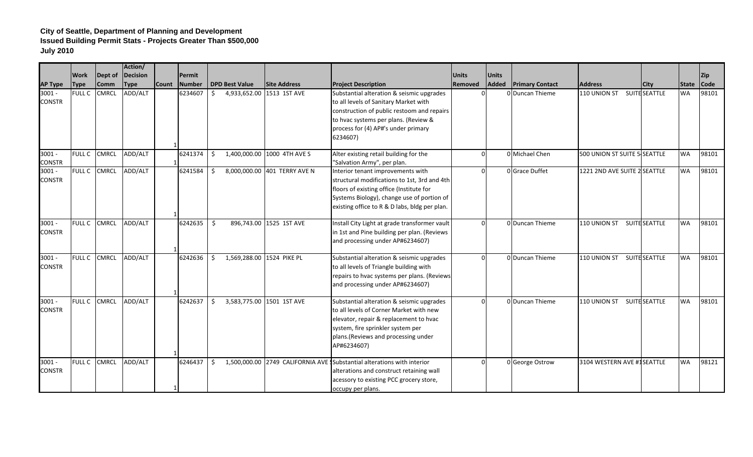|                           |               |              | Action/     |        |               |                                  |                              |                                                                                                                                                                                                                              |              |              |                        |                              |                      |            |            |
|---------------------------|---------------|--------------|-------------|--------|---------------|----------------------------------|------------------------------|------------------------------------------------------------------------------------------------------------------------------------------------------------------------------------------------------------------------------|--------------|--------------|------------------------|------------------------------|----------------------|------------|------------|
|                           | Work          | Dept of      | Decision    |        | Permit        |                                  |                              |                                                                                                                                                                                                                              | <b>Units</b> | <b>Units</b> |                        |                              |                      |            | <b>Zip</b> |
| <b>AP Type</b>            | <b>Type</b>   | <b>Comm</b>  | <b>Type</b> | lCount | <b>Number</b> | <b>DPD Best Value</b>            | <b>Site Address</b>          | <b>Project Description</b>                                                                                                                                                                                                   | Removed      | Added        | <b>Primary Contact</b> | <b>Address</b>               | City                 | State Code |            |
| $3001 -$<br><b>CONSTR</b> | <b>FULL C</b> | <b>CMRCL</b> | ADD/ALT     |        | 6234607       | 4,933,652.00<br>Ś.               | 1513 1ST AVE                 | Substantial alteration & seismic upgrades<br>to all levels of Sanitary Market with<br>construction of public restoom and repairs<br>to hvac systems per plans. (Review &<br>process for (4) AP#'s under primary<br>6234607)  |              |              | 0 Duncan Thieme        | 110 UNION ST                 | <b>SUITE SEATTLE</b> | <b>WA</b>  | 98101      |
| $3001 -$<br><b>CONSTR</b> | <b>FULL C</b> | <b>CMRCL</b> | ADD/ALT     |        | 6241374       | 1,400,000.00<br>\$               | 1000 4TH AVE S               | Alter existing retail building for the<br>"Salvation Army", per plan.                                                                                                                                                        |              |              | 0 Michael Chen         | 500 UNION ST SUITE 5 SEATTLE |                      | <b>WA</b>  | 98101      |
| $3001 -$<br><b>CONSTR</b> | FULL C        | <b>CMRCL</b> | ADD/ALT     |        | 6241584       | Ŝ.                               | 8,000,000.00 401 TERRY AVE N | Interior tenant improvements with<br>structural modifications to 1st, 3rd and 4th<br>floors of existing office (Institute for<br>Systems Biology), change use of portion of<br>existing office to R & D labs, bldg per plan. | $\Omega$     |              | 0 Grace Duffet         | 1221 2ND AVE SUITE 2 SEATTLE |                      | <b>WA</b>  | 98101      |
| $3001 -$<br><b>CONSTR</b> | FULL C        | <b>CMRCL</b> | ADD/ALT     |        | 6242635       | \$                               | 896,743.00 1525 1ST AVE      | Install City Light at grade transformer vault<br>in 1st and Pine building per plan. (Reviews<br>and processing under AP#6234607)                                                                                             |              |              | 0 Duncan Thieme        | 110 UNION ST                 | <b>SUITE SEATTLE</b> | <b>WA</b>  | 98101      |
| $3001 -$<br><b>CONSTR</b> | FULL C        | <b>CMRCL</b> | ADD/ALT     |        | 6242636       | 1,569,288.00 1524 PIKE PL<br>\$. |                              | Substantial alteration & seismic upgrades<br>to all levels of Triangle building with<br>repairs to hvac systems per plans. (Reviews<br>and processing under AP#6234607)                                                      |              |              | O Duncan Thieme        | 110 UNION ST SUITE SEATTLE   |                      | <b>WA</b>  | 98101      |
| $3001 -$<br><b>CONSTR</b> | <b>FULL C</b> | <b>CMRCL</b> | ADD/ALT     |        | 6242637       | \$                               | 3,583,775.00 1501 1ST AVE    | Substantial alteration & seismic upgrades<br>to all levels of Corner Market with new<br>elevator, repair & replacement to hvac<br>system, fire sprinkler system per<br>plans.(Reviews and processing under<br>AP#6234607)    | $\Omega$     |              | 0 Duncan Thieme        | 110 UNION ST                 | <b>SUITE SEATTLE</b> | <b>WA</b>  | 98101      |
| $3001 -$<br><b>CONSTR</b> | FULL C        | <b>CMRCL</b> | ADD/ALT     |        | 6246437       | \$                               |                              | 1,500,000.00 2749 CALIFORNIA AVE Substantial alterations with interior<br>alterations and construct retaining wall<br>acessory to existing PCC grocery store,<br>occupy per plans.                                           | $\Omega$     |              | 0 George Ostrow        | 3104 WESTERN AVE #1SEATTLE   |                      | <b>WA</b>  | 98121      |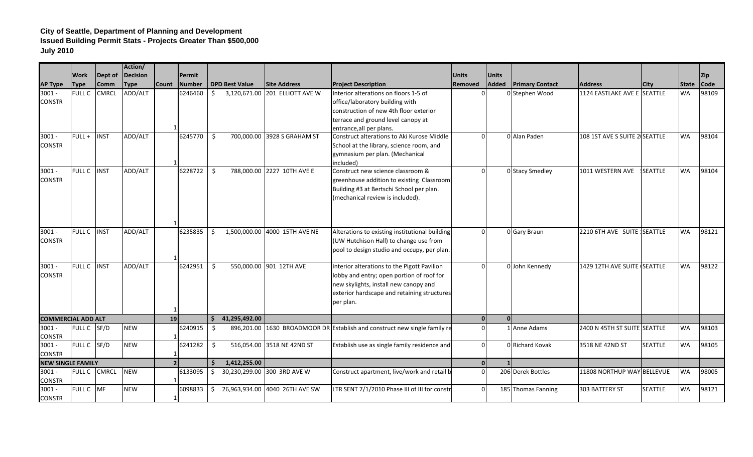| <b>Work</b><br>Dept of<br><b>Decision</b><br><b>Units</b><br><b>Units</b><br>Permit<br><b>DPD Best Value</b><br><b>Site Address</b><br><b>Project Description</b><br>Added<br><b>Primary Contact</b><br><b>Address</b><br><b>Comm</b><br><b>Type</b><br><b>Count</b><br><b>Number</b><br><b>Removed</b><br><b>AP Type</b><br><b>Type</b> | City           | <b>State</b> | Zip         |
|------------------------------------------------------------------------------------------------------------------------------------------------------------------------------------------------------------------------------------------------------------------------------------------------------------------------------------------|----------------|--------------|-------------|
|                                                                                                                                                                                                                                                                                                                                          |                |              |             |
|                                                                                                                                                                                                                                                                                                                                          |                |              | <b>Code</b> |
| $3001 -$<br><b>FULL C</b><br>CMRCL<br>ADD/ALT<br>6246460<br>\$<br>3,120,671.00 201 ELLIOTT AVE W<br>Interior alterations on floors 1-5 of<br>0 Stephen Wood<br>1124 EASTLAKE AVE E SEATTLE<br>U                                                                                                                                          |                | <b>WA</b>    | 98109       |
| office/laboratory building with<br><b>CONSTR</b>                                                                                                                                                                                                                                                                                         |                |              |             |
| construction of new 4th floor exterior                                                                                                                                                                                                                                                                                                   |                |              |             |
| terrace and ground level canopy at                                                                                                                                                                                                                                                                                                       |                |              |             |
| entrance, all per plans.                                                                                                                                                                                                                                                                                                                 |                |              |             |
| $FULL +$<br>Construct alterations to Aki Kurose Middle<br>0 Alan Paden<br>108 1ST AVE S SUITE 2 SEATTLE<br>$3001 -$<br><b>INST</b><br>ADD/ALT<br>6245770<br>\$<br>700,000.00<br>3928 S GRAHAM ST<br>$\Omega$                                                                                                                             |                | <b>WA</b>    | 98104       |
| <b>CONSTR</b><br>School at the library, science room, and                                                                                                                                                                                                                                                                                |                |              |             |
| gymnasium per plan. (Mechanical                                                                                                                                                                                                                                                                                                          |                |              |             |
| included)                                                                                                                                                                                                                                                                                                                                |                |              |             |
| 788,000.00 2227 10TH AVE E<br>Construct new science classroom &<br>$3001 -$<br><b>FULL C</b><br><b>INST</b><br>ADD/ALT<br>6228722<br>\$<br>0 Stacy Smedley<br>1011 WESTERN AVE<br>$\Omega$                                                                                                                                               | <b>SEATTLE</b> | <b>WA</b>    | 98104       |
| <b>CONSTR</b><br>greenhouse addition to existing Classroom                                                                                                                                                                                                                                                                               |                |              |             |
| Building #3 at Bertschi School per plan.                                                                                                                                                                                                                                                                                                 |                |              |             |
| (mechanical review is included).                                                                                                                                                                                                                                                                                                         |                |              |             |
| <b>FULL C</b><br><b>INST</b><br>1,500,000.00 4000 15TH AVE NE<br>$3001 -$<br>ADD/ALT<br>6235835<br>Alterations to existing institutional building<br>0 Gary Braun<br>2210 6TH AVE SUITE SEATTLE<br>Ŝ.<br>$\Omega$                                                                                                                        |                | <b>WA</b>    | 98121       |
| <b>CONSTR</b><br>(UW Hutchison Hall) to change use from                                                                                                                                                                                                                                                                                  |                |              |             |
| pool to design studio and occupy, per plan.                                                                                                                                                                                                                                                                                              |                |              |             |
|                                                                                                                                                                                                                                                                                                                                          |                |              |             |
| <b>FULL C</b><br><b>INST</b><br>550,000.00 901 12TH AVE<br>1429 12TH AVE SUITE SEATTLE<br>$3001 -$<br>ADD/ALT<br>6242951<br>Ŝ.<br>Interior alterations to the Pigott Pavilion<br>0 John Kennedy<br>$\Omega$                                                                                                                              |                | <b>WA</b>    | 98122       |
| <b>CONSTR</b><br>lobby and entry; open portion of roof for                                                                                                                                                                                                                                                                               |                |              |             |
| new skylights, install new canopy and                                                                                                                                                                                                                                                                                                    |                |              |             |
| exterior hardscape and retaining structures                                                                                                                                                                                                                                                                                              |                |              |             |
| per plan.                                                                                                                                                                                                                                                                                                                                |                |              |             |
| 41,295,492.00<br>$\Omega$<br><b>COMMERCIAL ADD ALT</b><br>19<br>$\mathbf{0}$                                                                                                                                                                                                                                                             |                |              |             |
| FULL C SF/D<br><b>NEW</b><br>1630 BROADMOOR DR Establish and construct new single family re<br>1 Anne Adams<br>$3001 -$<br>6240915<br>$\Omega$<br>2400 N 45TH ST SUITE SEATTLE<br>\$<br>896,201.00                                                                                                                                       |                | <b>WA</b>    | 98103       |
| <b>CONSTR</b>                                                                                                                                                                                                                                                                                                                            |                |              |             |
| $3001 -$<br>FULL C SF/D<br><b>NEW</b><br>6241282<br>516,054.00 3518 NE 42ND ST<br>Establish use as single family residence and<br>0 Richard Kovak<br>\$<br>3518 NE 42ND ST<br>$\Omega$                                                                                                                                                   | <b>SEATTLE</b> | <b>WA</b>    | 98105       |
| <b>CONSTR</b>                                                                                                                                                                                                                                                                                                                            |                |              |             |
| 1,412,255.00<br>Ŝ.<br><b>NEW SINGLE FAMILY</b><br>$\overline{0}$                                                                                                                                                                                                                                                                         |                |              |             |
| <b>NEW</b><br>11808 NORTHUP WAY BELLEVUE<br>$3001 -$<br><b>CMRCL</b><br>6133095<br>30,230,299.00 300 3RD AVE W<br>Construct apartment, live/work and retail b<br>206 Derek Bottles<br><b>FULL C</b><br>\$<br>$\Omega$                                                                                                                    |                | <b>WA</b>    | 98005       |
| <b>CONSTR</b>                                                                                                                                                                                                                                                                                                                            |                |              |             |
| $3001 -$<br>FULL C MF<br>LTR SENT 7/1/2010 Phase III of III for constr<br>185 Thomas Fanning<br><b>NEW</b><br>6098833<br>\$ 26,963,934.00 4040 26TH AVE SW<br>303 BATTERY ST<br>$\overline{0}$                                                                                                                                           | <b>SEATTLE</b> | <b>WA</b>    | 98121       |
| <b>CONSTR</b>                                                                                                                                                                                                                                                                                                                            |                |              |             |